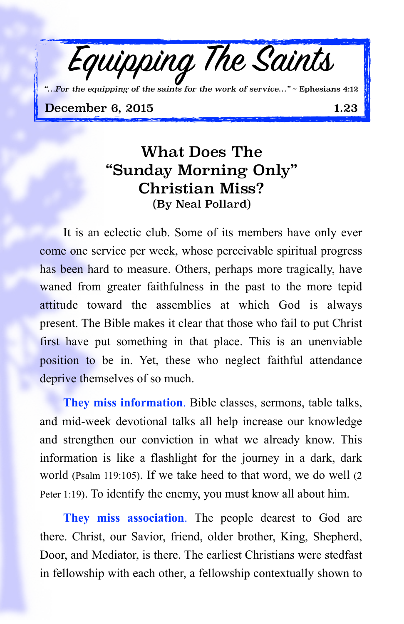

*"…For the equipping of the saints for the work of service…"* ~ Ephesians 4:12

December 6, 2015 1.23

## What Does The "Sunday Morning Only" Christian Miss? (By Neal Pollard)

It is an eclectic club. Some of its members have only ever come one service per week, whose perceivable spiritual progress has been hard to measure. Others, perhaps more tragically, have waned from greater faithfulness in the past to the more tepid attitude toward the assemblies at which God is always present. The Bible makes it clear that those who fail to put Christ first have put something in that place. This is an unenviable position to be in. Yet, these who neglect faithful attendance deprive themselves of so much.

**They miss information**. Bible classes, sermons, table talks, and mid-week devotional talks all help increase our knowledge and strengthen our conviction in what we already know. This information is like a flashlight for the journey in a dark, dark world (Psalm 119:105). If we take heed to that word, we do well (2 Peter 1:19). To identify the enemy, you must know all about him.

**They miss association**. The people dearest to God are there. Christ, our Savior, friend, older brother, King, Shepherd, Door, and Mediator, is there. The earliest Christians were stedfast in fellowship with each other, a fellowship contextually shown to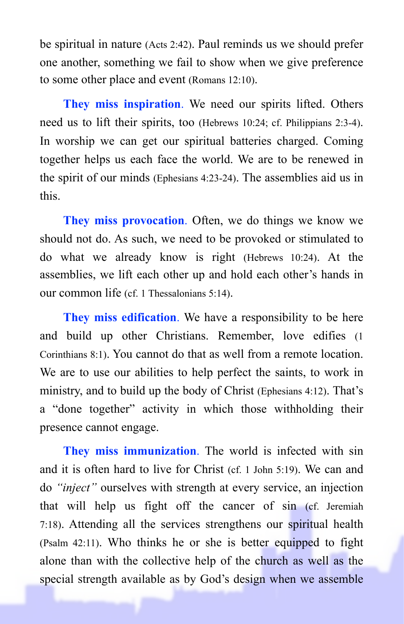be spiritual in nature (Acts 2:42). Paul reminds us we should prefer one another, something we fail to show when we give preference to some other place and event (Romans 12:10).

**They miss inspiration**. We need our spirits lifted. Others need us to lift their spirits, too (Hebrews 10:24; cf. Philippians 2:3-4). In worship we can get our spiritual batteries charged. Coming together helps us each face the world. We are to be renewed in the spirit of our minds (Ephesians 4:23-24). The assemblies aid us in this.

**They miss provocation**. Often, we do things we know we should not do. As such, we need to be provoked or stimulated to do what we already know is right (Hebrews 10:24). At the assemblies, we lift each other up and hold each other's hands in our common life (cf. 1 Thessalonians 5:14).

**They miss edification**. We have a responsibility to be here and build up other Christians. Remember, love edifies (1 Corinthians 8:1). You cannot do that as well from a remote location. We are to use our abilities to help perfect the saints, to work in ministry, and to build up the body of Christ (Ephesians 4:12). That's a "done together" activity in which those withholding their presence cannot engage.

**They miss immunization**. The world is infected with sin and it is often hard to live for Christ (cf. 1 John 5:19). We can and do *"inject"* ourselves with strength at every service, an injection that will help us fight off the cancer of sin (cf. Jeremiah 7:18). Attending all the services strengthens our spiritual health (Psalm 42:11). Who thinks he or she is better equipped to fight alone than with the collective help of the church as well as the special strength available as by God's design when we assemble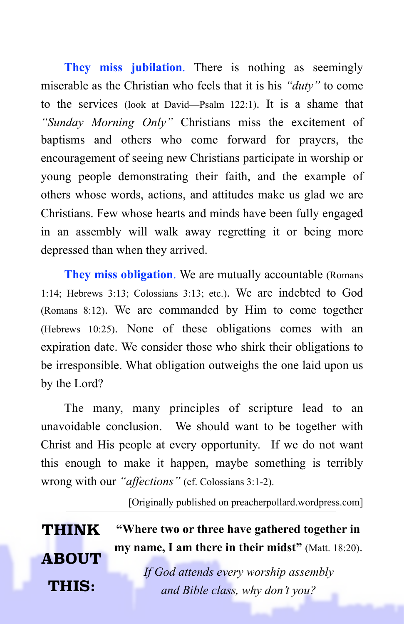**They miss jubilation**. There is nothing as seemingly miserable as the Christian who feels that it is his *"duty"* to come to the services (look at David—Psalm 122:1). It is a shame that *"Sunday Morning Only"* Christians miss the excitement of baptisms and others who come forward for prayers, the encouragement of seeing new Christians participate in worship or young people demonstrating their faith, and the example of others whose words, actions, and attitudes make us glad we are Christians. Few whose hearts and minds have been fully engaged in an assembly will walk away regretting it or being more depressed than when they arrived.

**They miss obligation**. We are mutually accountable (Romans 1:14; Hebrews 3:13; Colossians 3:13; etc.). We are indebted to God (Romans 8:12). We are commanded by Him to come together (Hebrews 10:25). None of these obligations comes with an expiration date. We consider those who shirk their obligations to be irresponsible. What obligation outweighs the one laid upon us by the Lord?

The many, many principles of scripture lead to an unavoidable conclusion. We should want to be together with Christ and His people at every opportunity. If we do not want this enough to make it happen, maybe something is terribly wrong with our *"affections"* (cf. Colossians 3:1-2).

[Originally published on preacherpollard.wordpress.com]

| <b>THINK</b> | "Where two or three have gathered together in              |
|--------------|------------------------------------------------------------|
| <b>ABOUT</b> | <b>my name, I am there in their midst</b> " (Matt. 18:20). |
|              | If God attends every worship assembly                      |
| THIS:        | and Bible class, why don't you?                            |